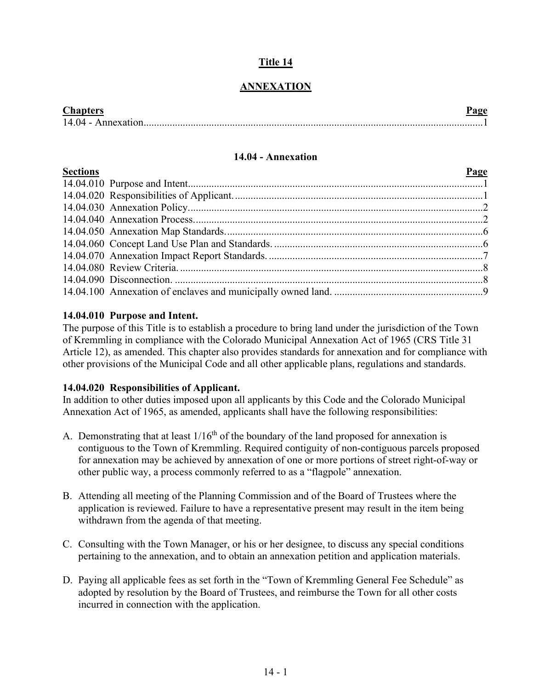# **Title 14**

# **ANNEXATION**

| <b>Chapters</b>    |  |
|--------------------|--|
| 14.04 - Annexation |  |

#### **14.04 - Annexation**

<span id="page-0-0"></span>

| <b>Sections</b> | Page |
|-----------------|------|
|                 |      |
|                 |      |
|                 |      |
|                 |      |
|                 |      |
|                 |      |
|                 |      |
|                 |      |
|                 |      |
|                 |      |

### **14.04.010 Purpose and Intent.**

The purpose of this Title is to establish a procedure to bring land under the jurisdiction of the Town of Kremmling in compliance with the Colorado Municipal Annexation Act of 1965 (CRS Title 31 Article 12), as amended. This chapter also provides standards for annexation and for compliance with other provisions of the Municipal Code and all other applicable plans, regulations and standards.

#### **14.04.020 Responsibilities of Applicant.**

In addition to other duties imposed upon all applicants by this Code and the Colorado Municipal Annexation Act of 1965, as amended, applicants shall have the following responsibilities:

- A. Demonstrating that at least  $1/16<sup>th</sup>$  of the boundary of the land proposed for annexation is contiguous to the Town of Kremmling. Required contiguity of non-contiguous parcels proposed for annexation may be achieved by annexation of one or more portions of street right-of-way or other public way, a process commonly referred to as a "flagpole" annexation.
- B. Attending all meeting of the Planning Commission and of the Board of Trustees where the application is reviewed. Failure to have a representative present may result in the item being withdrawn from the agenda of that meeting.
- C. Consulting with the Town Manager, or his or her designee, to discuss any special conditions pertaining to the annexation, and to obtain an annexation petition and application materials.
- D. Paying all applicable fees as set forth in the "Town of Kremmling General Fee Schedule" as adopted by resolution by the Board of Trustees, and reimburse the Town for all other costs incurred in connection with the application.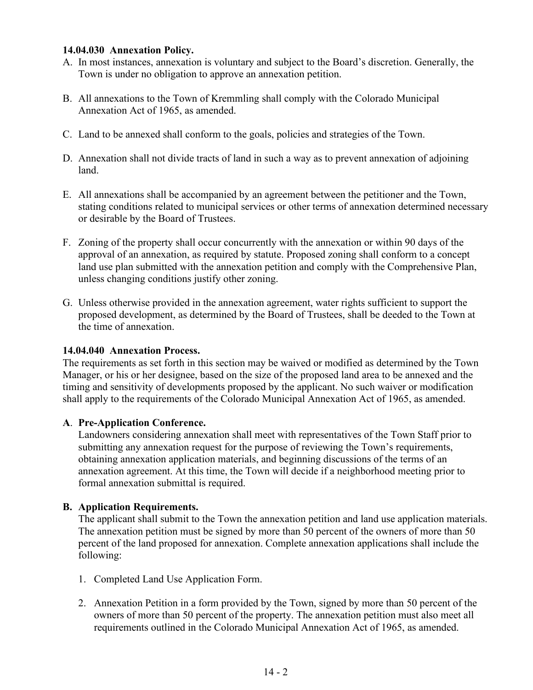#### **14.04.030 Annexation Policy.**

- A. In most instances, annexation is voluntary and subject to the Board's discretion. Generally, the Town is under no obligation to approve an annexation petition.
- B. All annexations to the Town of Kremmling shall comply with the Colorado Municipal Annexation Act of 1965, as amended.
- C. Land to be annexed shall conform to the goals, policies and strategies of the Town.
- D. Annexation shall not divide tracts of land in such a way as to prevent annexation of adjoining land.
- E. All annexations shall be accompanied by an agreement between the petitioner and the Town, stating conditions related to municipal services or other terms of annexation determined necessary or desirable by the Board of Trustees.
- F. Zoning of the property shall occur concurrently with the annexation or within 90 days of the approval of an annexation, as required by statute. Proposed zoning shall conform to a concept land use plan submitted with the annexation petition and comply with the Comprehensive Plan, unless changing conditions justify other zoning.
- G. Unless otherwise provided in the annexation agreement, water rights sufficient to support the proposed development, as determined by the Board of Trustees, shall be deeded to the Town at the time of annexation.

#### **14.04.040 Annexation Process.**

The requirements as set forth in this section may be waived or modified as determined by the Town Manager, or his or her designee, based on the size of the proposed land area to be annexed and the timing and sensitivity of developments proposed by the applicant. No such waiver or modification shall apply to the requirements of the Colorado Municipal Annexation Act of 1965, as amended.

## **A**. **Pre-Application Conference.**

Landowners considering annexation shall meet with representatives of the Town Staff prior to submitting any annexation request for the purpose of reviewing the Town's requirements, obtaining annexation application materials, and beginning discussions of the terms of an annexation agreement. At this time, the Town will decide if a neighborhood meeting prior to formal annexation submittal is required.

## **B. Application Requirements.**

The applicant shall submit to the Town the annexation petition and land use application materials. The annexation petition must be signed by more than 50 percent of the owners of more than 50 percent of the land proposed for annexation. Complete annexation applications shall include the following:

- 1. Completed Land Use Application Form.
- 2. Annexation Petition in a form provided by the Town, signed by more than 50 percent of the owners of more than 50 percent of the property. The annexation petition must also meet all requirements outlined in the Colorado Municipal Annexation Act of 1965, as amended.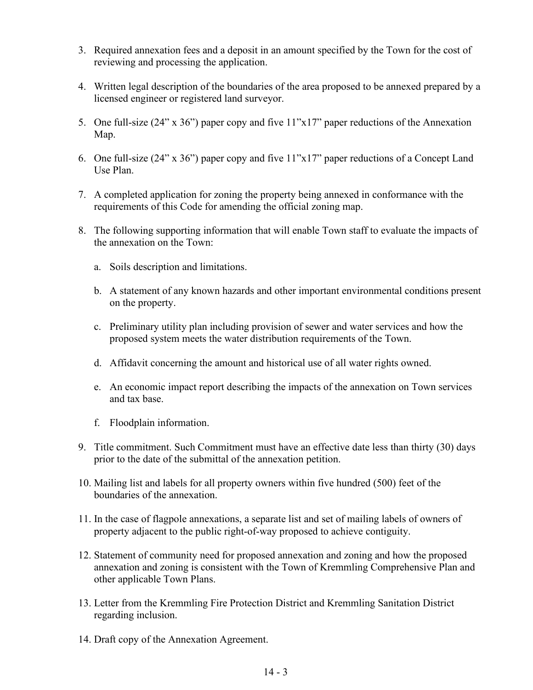- 3. Required annexation fees and a deposit in an amount specified by the Town for the cost of reviewing and processing the application.
- 4. Written legal description of the boundaries of the area proposed to be annexed prepared by a licensed engineer or registered land surveyor.
- 5. One full-size (24" x 36") paper copy and five 11"x17" paper reductions of the Annexation Map.
- 6. One full-size (24" x 36") paper copy and five 11"x17" paper reductions of a Concept Land Use Plan.
- 7. A completed application for zoning the property being annexed in conformance with the requirements of this Code for amending the official zoning map.
- 8. The following supporting information that will enable Town staff to evaluate the impacts of the annexation on the Town:
	- a. Soils description and limitations.
	- b. A statement of any known hazards and other important environmental conditions present on the property.
	- c. Preliminary utility plan including provision of sewer and water services and how the proposed system meets the water distribution requirements of the Town.
	- d. Affidavit concerning the amount and historical use of all water rights owned.
	- e. An economic impact report describing the impacts of the annexation on Town services and tax base.
	- f. Floodplain information.
- 9. Title commitment. Such Commitment must have an effective date less than thirty (30) days prior to the date of the submittal of the annexation petition.
- 10. Mailing list and labels for all property owners within five hundred (500) feet of the boundaries of the annexation.
- 11. In the case of flagpole annexations, a separate list and set of mailing labels of owners of property adjacent to the public right-of-way proposed to achieve contiguity.
- 12. Statement of community need for proposed annexation and zoning and how the proposed annexation and zoning is consistent with the Town of Kremmling Comprehensive Plan and other applicable Town Plans.
- 13. Letter from the Kremmling Fire Protection District and Kremmling Sanitation District regarding inclusion.
- 14. Draft copy of the Annexation Agreement.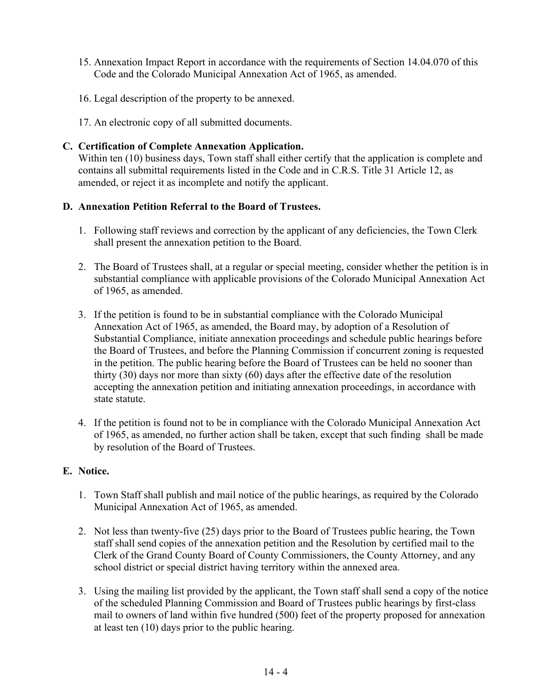- 15. Annexation Impact Report in accordance with the requirements of Section 14.04.070 of this Code and the Colorado Municipal Annexation Act of 1965, as amended.
- 16. Legal description of the property to be annexed.
- 17. An electronic copy of all submitted documents.

## **C. Certification of Complete Annexation Application.**

Within ten (10) business days, Town staff shall either certify that the application is complete and contains all submittal requirements listed in the Code and in C.R.S. Title 31 Article 12, as amended, or reject it as incomplete and notify the applicant.

### **D. Annexation Petition Referral to the Board of Trustees.**

- 1. Following staff reviews and correction by the applicant of any deficiencies, the Town Clerk shall present the annexation petition to the Board.
- 2. The Board of Trustees shall, at a regular or special meeting, consider whether the petition is in substantial compliance with applicable provisions of the Colorado Municipal Annexation Act of 1965, as amended.
- 3. If the petition is found to be in substantial compliance with the Colorado Municipal Annexation Act of 1965, as amended, the Board may, by adoption of a Resolution of Substantial Compliance, initiate annexation proceedings and schedule public hearings before the Board of Trustees, and before the Planning Commission if concurrent zoning is requested in the petition. The public hearing before the Board of Trustees can be held no sooner than thirty (30) days nor more than sixty (60) days after the effective date of the resolution accepting the annexation petition and initiating annexation proceedings, in accordance with state statute.
- 4. If the petition is found not to be in compliance with the Colorado Municipal Annexation Act of 1965, as amended, no further action shall be taken, except that such finding shall be made by resolution of the Board of Trustees.

## **E. Notice.**

- 1. Town Staff shall publish and mail notice of the public hearings, as required by the Colorado Municipal Annexation Act of 1965, as amended.
- 2. Not less than twenty-five (25) days prior to the Board of Trustees public hearing, the Town staff shall send copies of the annexation petition and the Resolution by certified mail to the Clerk of the Grand County Board of County Commissioners, the County Attorney, and any school district or special district having territory within the annexed area.
- 3. Using the mailing list provided by the applicant, the Town staff shall send a copy of the notice of the scheduled Planning Commission and Board of Trustees public hearings by first-class mail to owners of land within five hundred (500) feet of the property proposed for annexation at least ten (10) days prior to the public hearing.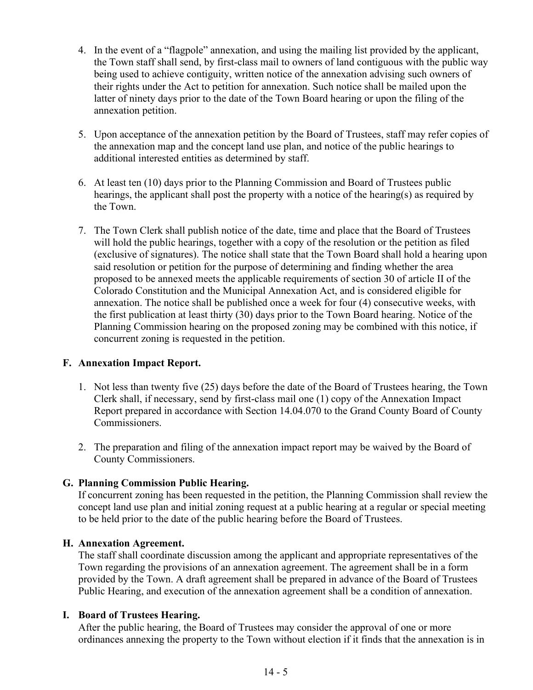- 4. In the event of a "flagpole" annexation, and using the mailing list provided by the applicant, the Town staff shall send, by first-class mail to owners of land contiguous with the public way being used to achieve contiguity, written notice of the annexation advising such owners of their rights under the Act to petition for annexation. Such notice shall be mailed upon the latter of ninety days prior to the date of the Town Board hearing or upon the filing of the annexation petition.
- 5. Upon acceptance of the annexation petition by the Board of Trustees, staff may refer copies of the annexation map and the concept land use plan, and notice of the public hearings to additional interested entities as determined by staff.
- 6. At least ten (10) days prior to the Planning Commission and Board of Trustees public hearings, the applicant shall post the property with a notice of the hearing(s) as required by the Town.
- 7. The Town Clerk shall publish notice of the date, time and place that the Board of Trustees will hold the public hearings, together with a copy of the resolution or the petition as filed (exclusive of signatures). The notice shall state that the Town Board shall hold a hearing upon said resolution or petition for the purpose of determining and finding whether the area proposed to be annexed meets the applicable requirements of section 30 of article II of the Colorado Constitution and the Municipal Annexation Act, and is considered eligible for annexation. The notice shall be published once a week for four (4) consecutive weeks, with the first publication at least thirty (30) days prior to the Town Board hearing. Notice of the Planning Commission hearing on the proposed zoning may be combined with this notice, if concurrent zoning is requested in the petition.

## **F. Annexation Impact Report.**

- 1. Not less than twenty five (25) days before the date of the Board of Trustees hearing, the Town Clerk shall, if necessary, send by first-class mail one (1) copy of the Annexation Impact Report prepared in accordance with Section 14.04.070 to the Grand County Board of County Commissioners.
- 2. The preparation and filing of the annexation impact report may be waived by the Board of County Commissioners.

## **G. Planning Commission Public Hearing.**

If concurrent zoning has been requested in the petition, the Planning Commission shall review the concept land use plan and initial zoning request at a public hearing at a regular or special meeting to be held prior to the date of the public hearing before the Board of Trustees.

#### **H. Annexation Agreement.**

The staff shall coordinate discussion among the applicant and appropriate representatives of the Town regarding the provisions of an annexation agreement. The agreement shall be in a form provided by the Town. A draft agreement shall be prepared in advance of the Board of Trustees Public Hearing, and execution of the annexation agreement shall be a condition of annexation.

#### **I. Board of Trustees Hearing.**

After the public hearing, the Board of Trustees may consider the approval of one or more ordinances annexing the property to the Town without election if it finds that the annexation is in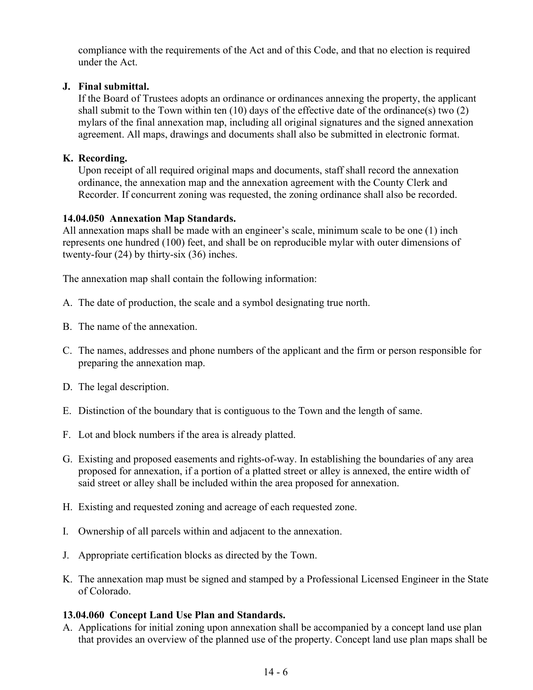compliance with the requirements of the Act and of this Code, and that no election is required under the Act.

## **J. Final submittal.**

If the Board of Trustees adopts an ordinance or ordinances annexing the property, the applicant shall submit to the Town within ten  $(10)$  days of the effective date of the ordinance(s) two  $(2)$ mylars of the final annexation map, including all original signatures and the signed annexation agreement. All maps, drawings and documents shall also be submitted in electronic format.

# **K. Recording.**

Upon receipt of all required original maps and documents, staff shall record the annexation ordinance, the annexation map and the annexation agreement with the County Clerk and Recorder. If concurrent zoning was requested, the zoning ordinance shall also be recorded.

## **14.04.050 Annexation Map Standards.**

All annexation maps shall be made with an engineer's scale, minimum scale to be one (1) inch represents one hundred (100) feet, and shall be on reproducible mylar with outer dimensions of twenty-four (24) by thirty-six (36) inches.

The annexation map shall contain the following information:

- A. The date of production, the scale and a symbol designating true north.
- B. The name of the annexation.
- C. The names, addresses and phone numbers of the applicant and the firm or person responsible for preparing the annexation map.
- D. The legal description.
- E. Distinction of the boundary that is contiguous to the Town and the length of same.
- F. Lot and block numbers if the area is already platted.
- G. Existing and proposed easements and rights-of-way. In establishing the boundaries of any area proposed for annexation, if a portion of a platted street or alley is annexed, the entire width of said street or alley shall be included within the area proposed for annexation.
- H. Existing and requested zoning and acreage of each requested zone.
- I. Ownership of all parcels within and adjacent to the annexation.
- J. Appropriate certification blocks as directed by the Town.
- K. The annexation map must be signed and stamped by a Professional Licensed Engineer in the State of Colorado.

# **13.04.060 Concept Land Use Plan and Standards.**

A. Applications for initial zoning upon annexation shall be accompanied by a concept land use plan that provides an overview of the planned use of the property. Concept land use plan maps shall be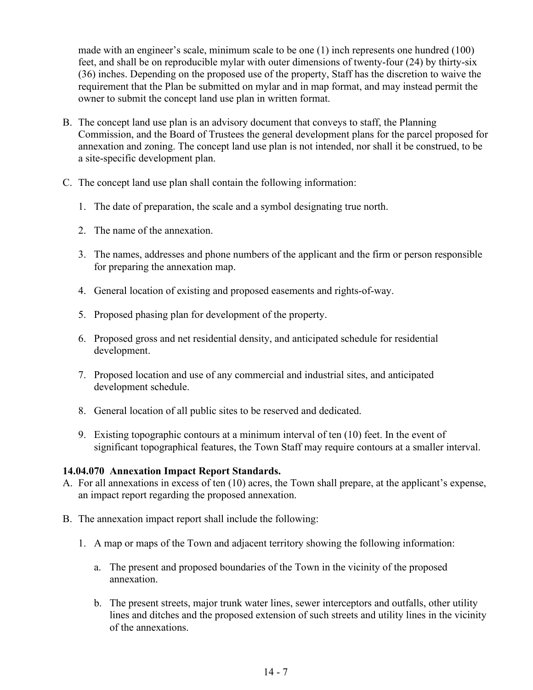made with an engineer's scale, minimum scale to be one (1) inch represents one hundred (100) feet, and shall be on reproducible mylar with outer dimensions of twenty-four (24) by thirty-six (36) inches. Depending on the proposed use of the property, Staff has the discretion to waive the requirement that the Plan be submitted on mylar and in map format, and may instead permit the owner to submit the concept land use plan in written format.

- B. The concept land use plan is an advisory document that conveys to staff, the Planning Commission, and the Board of Trustees the general development plans for the parcel proposed for annexation and zoning. The concept land use plan is not intended, nor shall it be construed, to be a site-specific development plan.
- C. The concept land use plan shall contain the following information:
	- 1. The date of preparation, the scale and a symbol designating true north.
	- 2. The name of the annexation.
	- 3. The names, addresses and phone numbers of the applicant and the firm or person responsible for preparing the annexation map.
	- 4. General location of existing and proposed easements and rights-of-way.
	- 5. Proposed phasing plan for development of the property.
	- 6. Proposed gross and net residential density, and anticipated schedule for residential development.
	- 7. Proposed location and use of any commercial and industrial sites, and anticipated development schedule.
	- 8. General location of all public sites to be reserved and dedicated.
	- 9. Existing topographic contours at a minimum interval of ten (10) feet. In the event of significant topographical features, the Town Staff may require contours at a smaller interval.

#### **14.04.070 Annexation Impact Report Standards.**

- A. For all annexations in excess of ten (10) acres, the Town shall prepare, at the applicant's expense, an impact report regarding the proposed annexation.
- B. The annexation impact report shall include the following:
	- 1. A map or maps of the Town and adjacent territory showing the following information:
		- a. The present and proposed boundaries of the Town in the vicinity of the proposed annexation.
		- b. The present streets, major trunk water lines, sewer interceptors and outfalls, other utility lines and ditches and the proposed extension of such streets and utility lines in the vicinity of the annexations.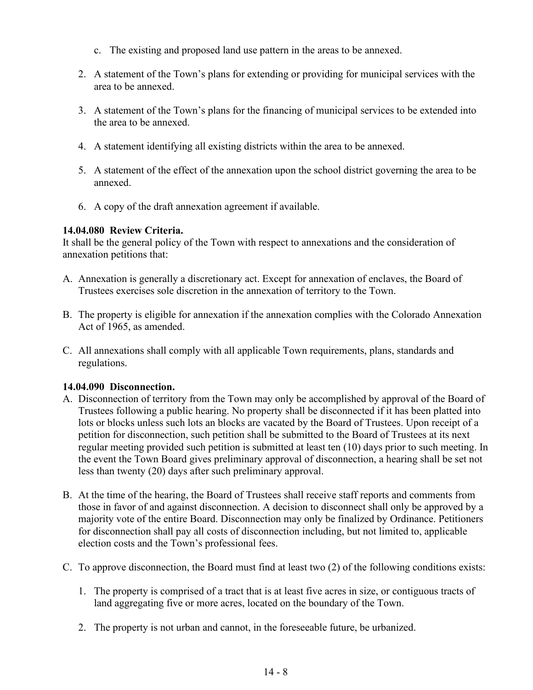- c. The existing and proposed land use pattern in the areas to be annexed.
- 2. A statement of the Town's plans for extending or providing for municipal services with the area to be annexed.
- 3. A statement of the Town's plans for the financing of municipal services to be extended into the area to be annexed.
- 4. A statement identifying all existing districts within the area to be annexed.
- 5. A statement of the effect of the annexation upon the school district governing the area to be annexed.
- 6. A copy of the draft annexation agreement if available.

### **14.04.080 Review Criteria.**

It shall be the general policy of the Town with respect to annexations and the consideration of annexation petitions that:

- A. Annexation is generally a discretionary act. Except for annexation of enclaves, the Board of Trustees exercises sole discretion in the annexation of territory to the Town.
- B. The property is eligible for annexation if the annexation complies with the Colorado Annexation Act of 1965, as amended.
- C. All annexations shall comply with all applicable Town requirements, plans, standards and regulations.

## **14.04.090 Disconnection.**

- A. Disconnection of territory from the Town may only be accomplished by approval of the Board of Trustees following a public hearing. No property shall be disconnected if it has been platted into lots or blocks unless such lots an blocks are vacated by the Board of Trustees. Upon receipt of a petition for disconnection, such petition shall be submitted to the Board of Trustees at its next regular meeting provided such petition is submitted at least ten (10) days prior to such meeting. In the event the Town Board gives preliminary approval of disconnection, a hearing shall be set not less than twenty (20) days after such preliminary approval.
- B. At the time of the hearing, the Board of Trustees shall receive staff reports and comments from those in favor of and against disconnection. A decision to disconnect shall only be approved by a majority vote of the entire Board. Disconnection may only be finalized by Ordinance. Petitioners for disconnection shall pay all costs of disconnection including, but not limited to, applicable election costs and the Town's professional fees.
- C. To approve disconnection, the Board must find at least two (2) of the following conditions exists:
	- 1. The property is comprised of a tract that is at least five acres in size, or contiguous tracts of land aggregating five or more acres, located on the boundary of the Town.
	- 2. The property is not urban and cannot, in the foreseeable future, be urbanized.